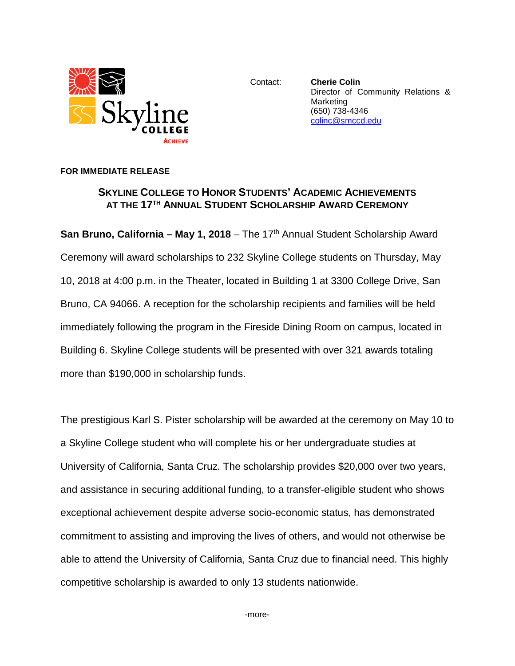

Contact: **Cherie Colin** Director of Community Relations & **Marketing** (650) 738-4346 [colinc@smccd.edu](mailto:colinc@smccd.edu)

## **FOR IMMEDIATE RELEASE**

## **SKYLINE COLLEGE TO HONOR STUDENTS' ACADEMIC ACHIEVEMENTS AT THE 17TH ANNUAL STUDENT SCHOLARSHIP AWARD CEREMONY**

**San Bruno, California – May 1, 2018** – The 17<sup>th</sup> Annual Student Scholarship Award Ceremony will award scholarships to 232 Skyline College students on Thursday, May 10, 2018 at 4:00 p.m. in the Theater, located in Building 1 at 3300 College Drive, San Bruno, CA 94066. A reception for the scholarship recipients and families will be held immediately following the program in the Fireside Dining Room on campus, located in Building 6. Skyline College students will be presented with over 321 awards totaling more than \$190,000 in scholarship funds.

The prestigious Karl S. Pister scholarship will be awarded at the ceremony on May 10 to a Skyline College student who will complete his or her undergraduate studies at University of California, Santa Cruz. The scholarship provides \$20,000 over two years, and assistance in securing additional funding, to a transfer-eligible student who shows exceptional achievement despite adverse socio-economic status, has demonstrated commitment to assisting and improving the lives of others, and would not otherwise be able to attend the University of California, Santa Cruz due to financial need. This highly competitive scholarship is awarded to only 13 students nationwide.